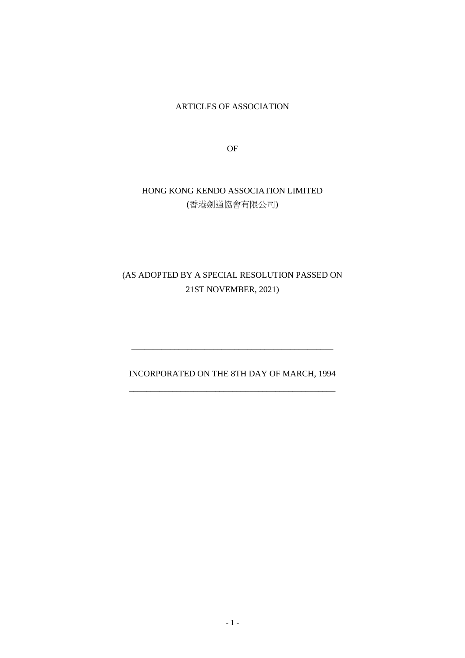ARTICLES OF ASSOCIATION

OF

# HONG KONG KENDO ASSOCIATION LIMITED (香港劍道協會有限公司)

# (AS ADOPTED BY A SPECIAL RESOLUTION PASSED ON 21ST NOVEMBER, 2021)

# INCORPORATED ON THE 8TH DAY OF MARCH, 1994 \_\_\_\_\_\_\_\_\_\_\_\_\_\_\_\_\_\_\_\_\_\_\_\_\_\_\_\_\_\_\_\_\_\_\_\_\_\_\_\_\_\_\_\_\_\_\_\_

\_\_\_\_\_\_\_\_\_\_\_\_\_\_\_\_\_\_\_\_\_\_\_\_\_\_\_\_\_\_\_\_\_\_\_\_\_\_\_\_\_\_\_\_\_\_\_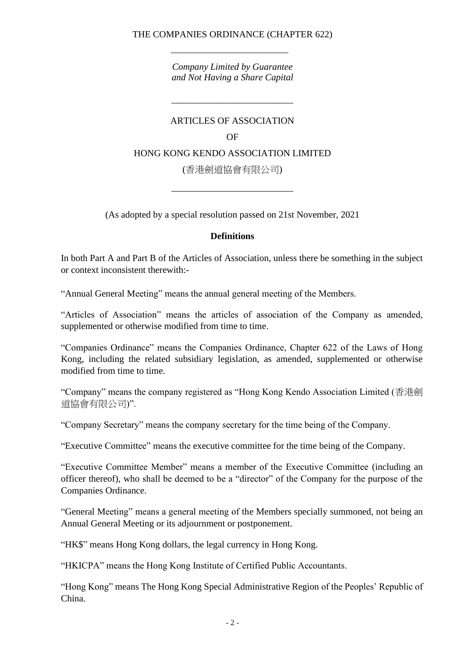## THE COMPANIES ORDINANCE (CHAPTER 622)

*Company Limited by Guarantee and Not Having a Share Capital*

#### ARTICLES OF ASSOCIATION

*\_\_\_\_\_\_\_\_\_\_\_\_\_\_\_\_\_\_\_\_\_\_\_\_\_\_*

#### OF

### HONG KONG KENDO ASSOCIATION LIMITED

(香港劍道協會有限公司)

\_\_\_\_\_\_\_\_\_\_\_\_\_\_\_\_\_\_\_\_\_\_\_\_\_\_

(As adopted by a special resolution passed on 21st November, 2021

#### **Definitions**

In both Part A and Part B of the Articles of Association, unless there be something in the subject or context inconsistent therewith:-

"Annual General Meeting" means the annual general meeting of the Members.

"Articles of Association" means the articles of association of the Company as amended, supplemented or otherwise modified from time to time.

"Companies Ordinance" means the Companies Ordinance, Chapter 622 of the Laws of Hong Kong, including the related subsidiary legislation, as amended, supplemented or otherwise modified from time to time.

"Company" means the company registered as "Hong Kong Kendo Association Limited (香港劍 道協會有限公司)".

"Company Secretary" means the company secretary for the time being of the Company.

"Executive Committee" means the executive committee for the time being of the Company.

"Executive Committee Member" means a member of the Executive Committee (including an officer thereof), who shall be deemed to be a "director" of the Company for the purpose of the Companies Ordinance.

"General Meeting" means a general meeting of the Members specially summoned, not being an Annual General Meeting or its adjournment or postponement.

"HK\$" means Hong Kong dollars, the legal currency in Hong Kong.

"HKICPA" means the Hong Kong Institute of Certified Public Accountants.

"Hong Kong" means The Hong Kong Special Administrative Region of the Peoples' Republic of China.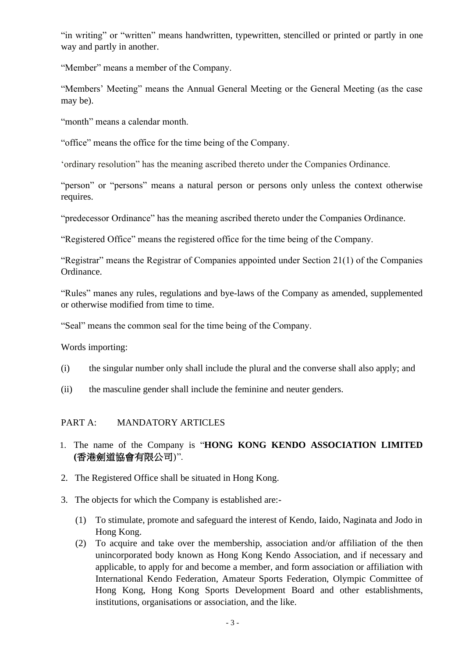"in writing" or "written" means handwritten, typewritten, stencilled or printed or partly in one way and partly in another.

"Member" means a member of the Company.

"Members' Meeting" means the Annual General Meeting or the General Meeting (as the case may be).

"month" means a calendar month.

"office" means the office for the time being of the Company.

'ordinary resolution" has the meaning ascribed thereto under the Companies Ordinance.

"person" or "persons" means a natural person or persons only unless the context otherwise requires.

"predecessor Ordinance" has the meaning ascribed thereto under the Companies Ordinance.

"Registered Office" means the registered office for the time being of the Company.

"Registrar" means the Registrar of Companies appointed under Section 21(1) of the Companies Ordinance.

"Rules" manes any rules, regulations and bye-laws of the Company as amended, supplemented or otherwise modified from time to time.

"Seal" means the common seal for the time being of the Company.

Words importing:

- (i) the singular number only shall include the plural and the converse shall also apply; and
- (ii) the masculine gender shall include the feminine and neuter genders.

## PART A: MANDATORY ARTICLES

- 1. The name of the Company is "**HONG KONG KENDO ASSOCIATION LIMITED (**香港劍道協會有限公司)".
- 2. The Registered Office shall be situated in Hong Kong.
- 3. The objects for which the Company is established are:-
	- (1) To stimulate, promote and safeguard the interest of Kendo, Iaido, Naginata and Jodo in Hong Kong.
	- (2) To acquire and take over the membership, association and/or affiliation of the then unincorporated body known as Hong Kong Kendo Association, and if necessary and applicable, to apply for and become a member, and form association or affiliation with International Kendo Federation, Amateur Sports Federation, Olympic Committee of Hong Kong, Hong Kong Sports Development Board and other establishments, institutions, organisations or association, and the like.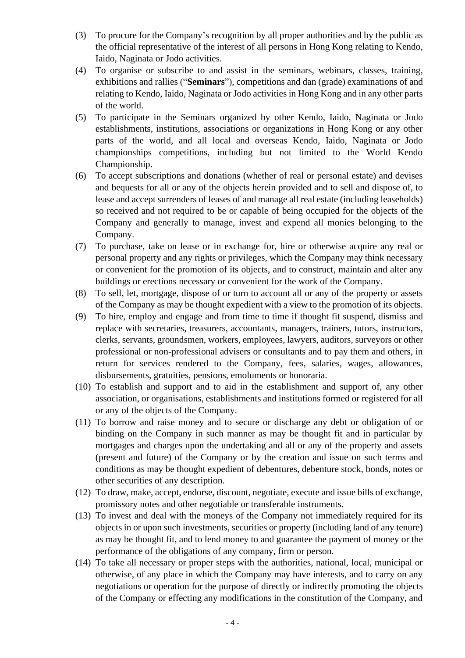- (3) To procure for the Company's recognition by all proper authorities and by the public as the official representative of the interest of all persons in Hong Kong relating to Kendo, Iaido, Naginata or Jodo activities.
- (4) To organise or subscribe to and assist in the seminars, webinars, classes, training, exhibitions and rallies ("**Seminars**"), competitions and dan (grade) examinations of and relating to Kendo, Iaido, Naginata or Jodo activities in Hong Kong and in any other parts of the world.
- (5) To participate in the Seminars organized by other Kendo, Iaido, Naginata or Jodo establishments, institutions, associations or organizations in Hong Kong or any other parts of the world, and all local and overseas Kendo, Iaido, Naginata or Jodo championships competitions, including but not limited to the World Kendo Championship.
- (6) To accept subscriptions and donations (whether of real or personal estate) and devises and bequests for all or any of the objects herein provided and to sell and dispose of, to lease and accept surrenders of leases of and manage all real estate (including leaseholds) so received and not required to be or capable of being occupied for the objects of the Company and generally to manage, invest and expend all monies belonging to the Company.
- (7) To purchase, take on lease or in exchange for, hire or otherwise acquire any real or personal property and any rights or privileges, which the Company may think necessary or convenient for the promotion of its objects, and to construct, maintain and alter any buildings or erections necessary or convenient for the work of the Company.
- (8) To sell, let, mortgage, dispose of or turn to account all or any of the property or assets of the Company as may be thought expedient with a view to the promotion of its objects.
- (9) To hire, employ and engage and from time to time if thought fit suspend, dismiss and replace with secretaries, treasurers, accountants, managers, trainers, tutors, instructors, clerks, servants, groundsmen, workers, employees, lawyers, auditors, surveyors or other professional or non-professional advisers or consultants and to pay them and others, in return for services rendered to the Company, fees, salaries, wages, allowances, disbursements, gratuities, pensions, emoluments or honoraria.
- (10) To establish and support and to aid in the establishment and support of, any other association, or organisations, establishments and institutions formed or registered for all or any of the objects of the Company.
- (11) To borrow and raise money and to secure or discharge any debt or obligation of or binding on the Company in such manner as may be thought fit and in particular by mortgages and charges upon the undertaking and all or any of the property and assets (present and future) of the Company or by the creation and issue on such terms and conditions as may be thought expedient of debentures, debenture stock, bonds, notes or other securities of any description.
- (12) To draw, make, accept, endorse, discount, negotiate, execute and issue bills of exchange, promissory notes and other negotiable or transferable instruments.
- (13) To invest and deal with the moneys of the Company not immediately required for its objects in or upon such investments, securities or property (including land of any tenure) as may be thought fit, and to lend money to and guarantee the payment of money or the performance of the obligations of any company, firm or person.
- (14) To take all necessary or proper steps with the authorities, national, local, municipal or otherwise, of any place in which the Company may have interests, and to carry on any negotiations or operation for the purpose of directly or indirectly promoting the objects of the Company or effecting any modifications in the constitution of the Company, and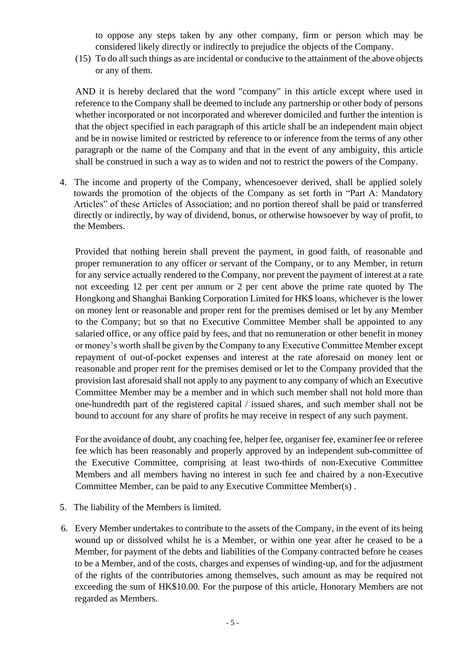to oppose any steps taken by any other company, firm or person which may be considered likely directly or indirectly to prejudice the objects of the Company.

(15) To do all such things as are incidental or conducive to the attainment of the above objects or any of them.

AND it is hereby declared that the word "company" in this article except where used in reference to the Company shall be deemed to include any partnership or other body of persons whether incorporated or not incorporated and wherever domiciled and further the intention is that the object specified in each paragraph of this article shall be an independent main object and be in nowise limited or restricted by reference to or inference from the terms of any other paragraph or the name of the Company and that in the event of any ambiguity, this article shall be construed in such a way as to widen and not to restrict the powers of the Company.

4. The income and property of the Company, whencesoever derived, shall be applied solely towards the promotion of the objects of the Company as set forth in "Part A: Mandatory Articles" of these Articles of Association; and no portion thereof shall be paid or transferred directly or indirectly, by way of dividend, bonus, or otherwise howsoever by way of profit, to the Members.

Provided that nothing herein shall prevent the payment, in good faith, of reasonable and proper remuneration to any officer or servant of the Company, or to any Member, in return for any service actually rendered to the Company, nor prevent the payment of interest at a rate not exceeding 12 per cent per annum or 2 per cent above the prime rate quoted by The Hongkong and Shanghai Banking Corporation Limited for HK\$ loans, whichever is the lower on money lent or reasonable and proper rent for the premises demised or let by any Member to the Company; but so that no Executive Committee Member shall be appointed to any salaried office, or any office paid by fees, and that no remuneration or other benefit in money or money's worth shall be given by the Company to any Executive Committee Member except repayment of out-of-pocket expenses and interest at the rate aforesaid on money lent or reasonable and proper rent for the premises demised or let to the Company provided that the provision last aforesaid shall not apply to any payment to any company of which an Executive Committee Member may be a member and in which such member shall not hold more than one-hundredth part of the registered capital / issued shares, and such member shall not be bound to account for any share of profits he may receive in respect of any such payment.

For the avoidance of doubt, any coaching fee, helper fee, organiser fee, examiner fee or referee fee which has been reasonably and properly approved by an independent sub-committee of the Executive Committee, comprising at least two-thirds of non-Executive Committee Members and all members having no interest in such fee and chaired by a non-Executive Committee Member, can be paid to any Executive Committee Member(s) .

- 5. The liability of the Members is limited.
- 6. Every Member undertakes to contribute to the assets of the Company, in the event of its being wound up or dissolved whilst he is a Member, or within one year after he ceased to be a Member, for payment of the debts and liabilities of the Company contracted before he ceases to be a Member, and of the costs, charges and expenses of winding-up, and for the adjustment of the rights of the contributories among themselves, such amount as may be required not exceeding the sum of HK\$10.00. For the purpose of this article, Honorary Members are not regarded as Members.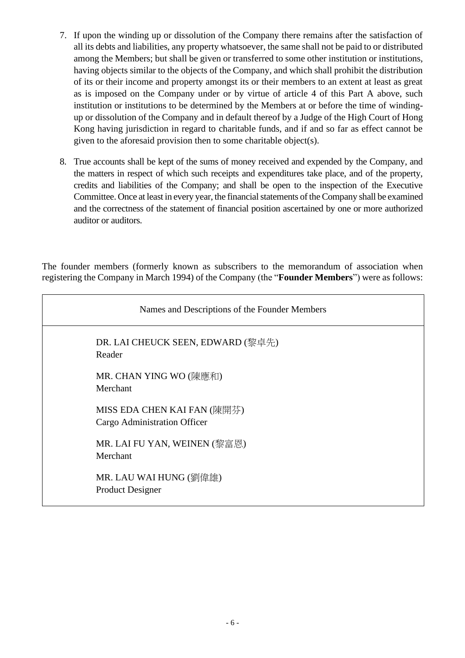- 7. If upon the winding up or dissolution of the Company there remains after the satisfaction of all its debts and liabilities, any property whatsoever, the same shall not be paid to or distributed among the Members; but shall be given or transferred to some other institution or institutions, having objects similar to the objects of the Company, and which shall prohibit the distribution of its or their income and property amongst its or their members to an extent at least as great as is imposed on the Company under or by virtue of article 4 of this Part A above, such institution or institutions to be determined by the Members at or before the time of windingup or dissolution of the Company and in default thereof by a Judge of the High Court of Hong Kong having jurisdiction in regard to charitable funds, and if and so far as effect cannot be given to the aforesaid provision then to some charitable object(s).
- 8. True accounts shall be kept of the sums of money received and expended by the Company, and the matters in respect of which such receipts and expenditures take place, and of the property, credits and liabilities of the Company; and shall be open to the inspection of the Executive Committee. Once at least in every year, the financial statements of the Company shall be examined and the correctness of the statement of financial position ascertained by one or more authorized auditor or auditors.

The founder members (formerly known as subscribers to the memorandum of association when registering the Company in March 1994) of the Company (the "**Founder Members**") were as follows:

| Names and Descriptions of the Founder Members               |
|-------------------------------------------------------------|
| DR. LAI CHEUCK SEEN, EDWARD (黎卓先)<br>Reader                 |
| MR. CHAN YING WO (陳應和)<br>Merchant                          |
| MISS EDA CHEN KAI FAN (陳開芬)<br>Cargo Administration Officer |
| MR. LAI FU YAN, WEINEN (黎富恩)<br>Merchant                    |
| MR. LAU WAI HUNG (劉偉雄)<br><b>Product Designer</b>           |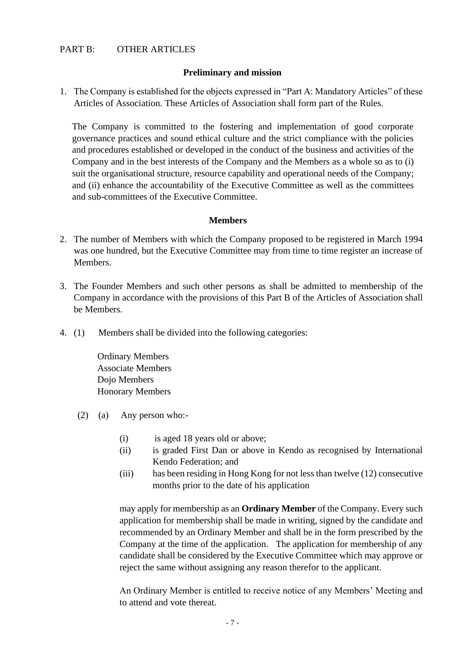### PART B: OTHER ARTICLES

#### **Preliminary and mission**

1. The Company is established for the objects expressed in "Part A: Mandatory Articles" of these Articles of Association. These Articles of Association shall form part of the Rules.

The Company is committed to the fostering and implementation of good corporate governance practices and sound ethical culture and the strict compliance with the policies and procedures established or developed in the conduct of the business and activities of the Company and in the best interests of the Company and the Members as a whole so as to (i) suit the organisational structure, resource capability and operational needs of the Company; and (ii) enhance the accountability of the Executive Committee as well as the committees and sub-committees of the Executive Committee.

#### **Members**

- 2. The number of Members with which the Company proposed to be registered in March 1994 was one hundred, but the Executive Committee may from time to time register an increase of **Members**
- 3. The Founder Members and such other persons as shall be admitted to membership of the Company in accordance with the provisions of this Part B of the Articles of Association shall be Members.
- 4. (1) Members shall be divided into the following categories:

Ordinary Members Associate Members Dojo Members Honorary Members

- (2) (a) Any person who:-
	- (i) is aged 18 years old or above;
	- (ii) is graded First Dan or above in Kendo as recognised by International Kendo Federation; and
	- (iii) has been residing in Hong Kong for not less than twelve (12) consecutive months prior to the date of his application

may apply for membership as an **Ordinary Member** of the Company. Every such application for membership shall be made in writing, signed by the candidate and recommended by an Ordinary Member and shall be in the form prescribed by the Company at the time of the application. The application for membership of any candidate shall be considered by the Executive Committee which may approve or reject the same without assigning any reason therefor to the applicant.

An Ordinary Member is entitled to receive notice of any Members' Meeting and to attend and vote thereat.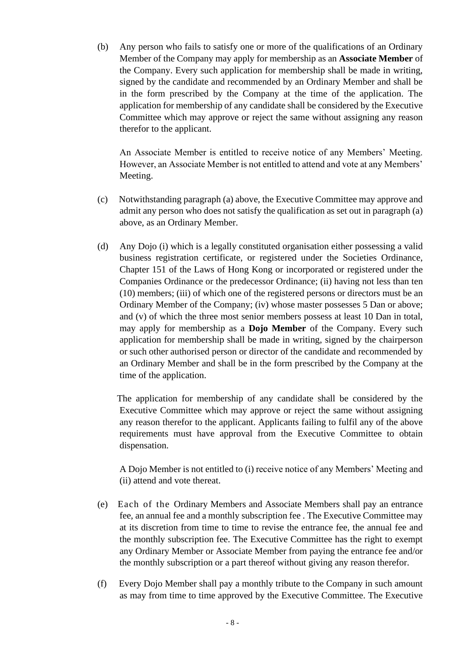(b) Any person who fails to satisfy one or more of the qualifications of an Ordinary Member of the Company may apply for membership as an **Associate Member** of the Company. Every such application for membership shall be made in writing, signed by the candidate and recommended by an Ordinary Member and shall be in the form prescribed by the Company at the time of the application. The application for membership of any candidate shall be considered by the Executive Committee which may approve or reject the same without assigning any reason therefor to the applicant.

An Associate Member is entitled to receive notice of any Members' Meeting. However, an Associate Member is not entitled to attend and vote at any Members' Meeting.

- (c) Notwithstanding paragraph (a) above, the Executive Committee may approve and admit any person who does not satisfy the qualification as set out in paragraph (a) above, as an Ordinary Member.
- (d) Any Dojo (i) which is a legally constituted organisation either possessing a valid business registration certificate, or registered under the Societies Ordinance, Chapter 151 of the Laws of Hong Kong or incorporated or registered under the Companies Ordinance or the predecessor Ordinance; (ii) having not less than ten (10) members; (iii) of which one of the registered persons or directors must be an Ordinary Member of the Company; (iv) whose master possesses 5 Dan or above; and (v) of which the three most senior members possess at least 10 Dan in total, may apply for membership as a **Dojo Member** of the Company. Every such application for membership shall be made in writing, signed by the chairperson or such other authorised person or director of the candidate and recommended by an Ordinary Member and shall be in the form prescribed by the Company at the time of the application.

The application for membership of any candidate shall be considered by the Executive Committee which may approve or reject the same without assigning any reason therefor to the applicant. Applicants failing to fulfil any of the above requirements must have approval from the Executive Committee to obtain dispensation.

A Dojo Member is not entitled to (i) receive notice of any Members' Meeting and (ii) attend and vote thereat.

- (e) Each of the Ordinary Members and Associate Members shall pay an entrance fee, an annual fee and a monthly subscription fee . The Executive Committee may at its discretion from time to time to revise the entrance fee, the annual fee and the monthly subscription fee. The Executive Committee has the right to exempt any Ordinary Member or Associate Member from paying the entrance fee and/or the monthly subscription or a part thereof without giving any reason therefor.
- (f) Every Dojo Member shall pay a monthly tribute to the Company in such amount as may from time to time approved by the Executive Committee. The Executive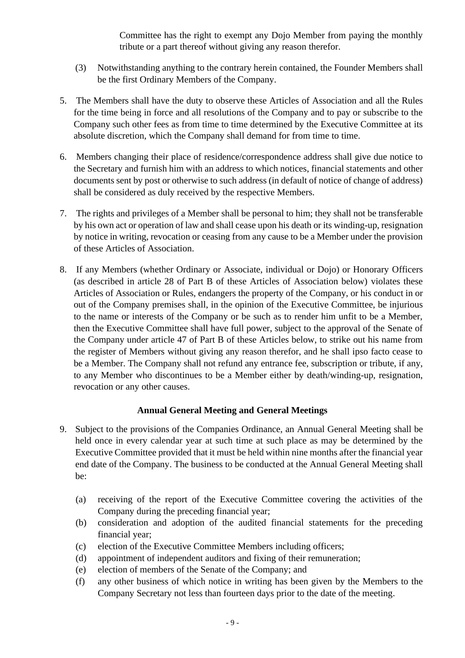Committee has the right to exempt any Dojo Member from paying the monthly tribute or a part thereof without giving any reason therefor.

- (3) Notwithstanding anything to the contrary herein contained, the Founder Members shall be the first Ordinary Members of the Company.
- 5. The Members shall have the duty to observe these Articles of Association and all the Rules for the time being in force and all resolutions of the Company and to pay or subscribe to the Company such other fees as from time to time determined by the Executive Committee at its absolute discretion, which the Company shall demand for from time to time.
- 6. Members changing their place of residence/correspondence address shall give due notice to the Secretary and furnish him with an address to which notices, financial statements and other documents sent by post or otherwise to such address (in default of notice of change of address) shall be considered as duly received by the respective Members.
- 7. The rights and privileges of a Member shall be personal to him; they shall not be transferable by his own act or operation of law and shall cease upon his death or its winding-up, resignation by notice in writing, revocation or ceasing from any cause to be a Member under the provision of these Articles of Association.
- 8. If any Members (whether Ordinary or Associate, individual or Dojo) or Honorary Officers (as described in article 28 of Part B of these Articles of Association below) violates these Articles of Association or Rules, endangers the property of the Company, or his conduct in or out of the Company premises shall, in the opinion of the Executive Committee, be injurious to the name or interests of the Company or be such as to render him unfit to be a Member, then the Executive Committee shall have full power, subject to the approval of the Senate of the Company under article 47 of Part B of these Articles below, to strike out his name from the register of Members without giving any reason therefor, and he shall ipso facto cease to be a Member. The Company shall not refund any entrance fee, subscription or tribute, if any, to any Member who discontinues to be a Member either by death/winding-up, resignation, revocation or any other causes.

## **Annual General Meeting and General Meetings**

- 9. Subject to the provisions of the Companies Ordinance, an Annual General Meeting shall be held once in every calendar year at such time at such place as may be determined by the Executive Committee provided that it must be held within nine months after the financial year end date of the Company. The business to be conducted at the Annual General Meeting shall be:
	- (a) receiving of the report of the Executive Committee covering the activities of the Company during the preceding financial year;
	- (b) consideration and adoption of the audited financial statements for the preceding financial year;
	- (c) election of the Executive Committee Members including officers;
	- (d) appointment of independent auditors and fixing of their remuneration;
	- (e) election of members of the Senate of the Company; and
	- (f) any other business of which notice in writing has been given by the Members to the Company Secretary not less than fourteen days prior to the date of the meeting.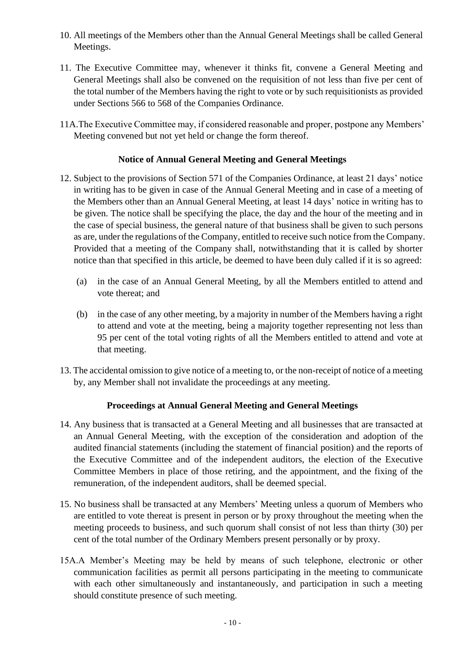- 10. All meetings of the Members other than the Annual General Meetings shall be called General Meetings.
- 11. The Executive Committee may, whenever it thinks fit, convene a General Meeting and General Meetings shall also be convened on the requisition of not less than five per cent of the total number of the Members having the right to vote or by such requisitionists as provided under Sections 566 to 568 of the Companies Ordinance.
- 11A.The Executive Committee may, if considered reasonable and proper, postpone any Members' Meeting convened but not yet held or change the form thereof.

### **Notice of Annual General Meeting and General Meetings**

- 12. Subject to the provisions of Section 571 of the Companies Ordinance, at least 21 days' notice in writing has to be given in case of the Annual General Meeting and in case of a meeting of the Members other than an Annual General Meeting, at least 14 days' notice in writing has to be given. The notice shall be specifying the place, the day and the hour of the meeting and in the case of special business, the general nature of that business shall be given to such persons as are, under the regulations of the Company, entitled to receive such notice from the Company. Provided that a meeting of the Company shall, notwithstanding that it is called by shorter notice than that specified in this article, be deemed to have been duly called if it is so agreed:
	- (a) in the case of an Annual General Meeting, by all the Members entitled to attend and vote thereat; and
	- (b) in the case of any other meeting, by a majority in number of the Members having a right to attend and vote at the meeting, being a majority together representing not less than 95 per cent of the total voting rights of all the Members entitled to attend and vote at that meeting.
- 13. The accidental omission to give notice of a meeting to, or the non-receipt of notice of a meeting by, any Member shall not invalidate the proceedings at any meeting.

### **Proceedings at Annual General Meeting and General Meetings**

- 14. Any business that is transacted at a General Meeting and all businesses that are transacted at an Annual General Meeting, with the exception of the consideration and adoption of the audited financial statements (including the statement of financial position) and the reports of the Executive Committee and of the independent auditors, the election of the Executive Committee Members in place of those retiring, and the appointment, and the fixing of the remuneration, of the independent auditors, shall be deemed special.
- 15. No business shall be transacted at any Members' Meeting unless a quorum of Members who are entitled to vote thereat is present in person or by proxy throughout the meeting when the meeting proceeds to business, and such quorum shall consist of not less than thirty (30) per cent of the total number of the Ordinary Members present personally or by proxy.
- 15A.A Member's Meeting may be held by means of such telephone, electronic or other communication facilities as permit all persons participating in the meeting to communicate with each other simultaneously and instantaneously, and participation in such a meeting should constitute presence of such meeting.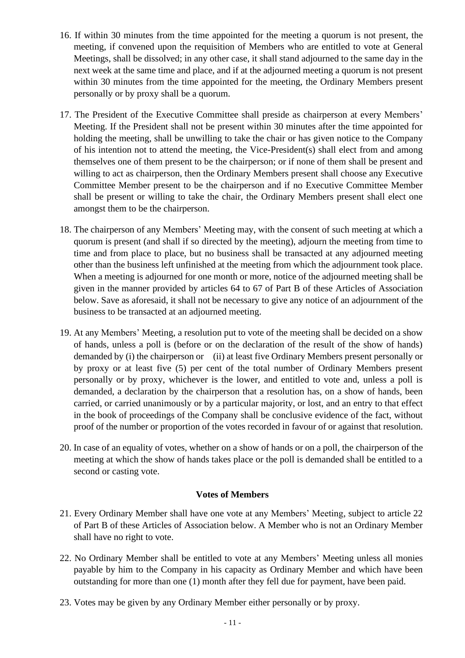- 16. If within 30 minutes from the time appointed for the meeting a quorum is not present, the meeting, if convened upon the requisition of Members who are entitled to vote at General Meetings, shall be dissolved; in any other case, it shall stand adjourned to the same day in the next week at the same time and place, and if at the adjourned meeting a quorum is not present within 30 minutes from the time appointed for the meeting, the Ordinary Members present personally or by proxy shall be a quorum.
- 17. The President of the Executive Committee shall preside as chairperson at every Members' Meeting. If the President shall not be present within 30 minutes after the time appointed for holding the meeting, shall be unwilling to take the chair or has given notice to the Company of his intention not to attend the meeting, the Vice-President(s) shall elect from and among themselves one of them present to be the chairperson; or if none of them shall be present and willing to act as chairperson, then the Ordinary Members present shall choose any Executive Committee Member present to be the chairperson and if no Executive Committee Member shall be present or willing to take the chair, the Ordinary Members present shall elect one amongst them to be the chairperson.
- 18. The chairperson of any Members' Meeting may, with the consent of such meeting at which a quorum is present (and shall if so directed by the meeting), adjourn the meeting from time to time and from place to place, but no business shall be transacted at any adjourned meeting other than the business left unfinished at the meeting from which the adjournment took place. When a meeting is adjourned for one month or more, notice of the adjourned meeting shall be given in the manner provided by articles 64 to 67 of Part B of these Articles of Association below. Save as aforesaid, it shall not be necessary to give any notice of an adjournment of the business to be transacted at an adjourned meeting.
- 19. At any Members' Meeting, a resolution put to vote of the meeting shall be decided on a show of hands, unless a poll is (before or on the declaration of the result of the show of hands) demanded by (i) the chairperson or (ii) at least five Ordinary Members present personally or by proxy or at least five (5) per cent of the total number of Ordinary Members present personally or by proxy, whichever is the lower, and entitled to vote and, unless a poll is demanded, a declaration by the chairperson that a resolution has, on a show of hands, been carried, or carried unanimously or by a particular majority, or lost, and an entry to that effect in the book of proceedings of the Company shall be conclusive evidence of the fact, without proof of the number or proportion of the votes recorded in favour of or against that resolution.
- 20. In case of an equality of votes, whether on a show of hands or on a poll, the chairperson of the meeting at which the show of hands takes place or the poll is demanded shall be entitled to a second or casting vote.

### **Votes of Members**

- 21. Every Ordinary Member shall have one vote at any Members' Meeting, subject to article 22 of Part B of these Articles of Association below. A Member who is not an Ordinary Member shall have no right to vote.
- 22. No Ordinary Member shall be entitled to vote at any Members' Meeting unless all monies payable by him to the Company in his capacity as Ordinary Member and which have been outstanding for more than one (1) month after they fell due for payment, have been paid.
- 23. Votes may be given by any Ordinary Member either personally or by proxy.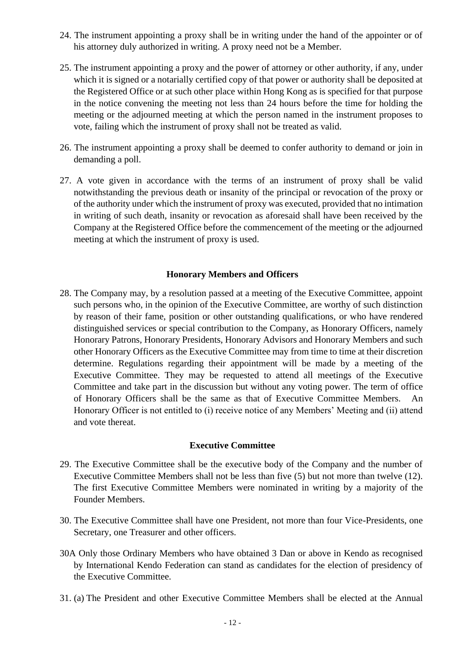- 24. The instrument appointing a proxy shall be in writing under the hand of the appointer or of his attorney duly authorized in writing. A proxy need not be a Member.
- 25. The instrument appointing a proxy and the power of attorney or other authority, if any, under which it is signed or a notarially certified copy of that power or authority shall be deposited at the Registered Office or at such other place within Hong Kong as is specified for that purpose in the notice convening the meeting not less than 24 hours before the time for holding the meeting or the adjourned meeting at which the person named in the instrument proposes to vote, failing which the instrument of proxy shall not be treated as valid.
- 26. The instrument appointing a proxy shall be deemed to confer authority to demand or join in demanding a poll.
- 27. A vote given in accordance with the terms of an instrument of proxy shall be valid notwithstanding the previous death or insanity of the principal or revocation of the proxy or of the authority under which the instrument of proxy was executed, provided that no intimation in writing of such death, insanity or revocation as aforesaid shall have been received by the Company at the Registered Office before the commencement of the meeting or the adjourned meeting at which the instrument of proxy is used.

#### **Honorary Members and Officers**

28. The Company may, by a resolution passed at a meeting of the Executive Committee, appoint such persons who, in the opinion of the Executive Committee, are worthy of such distinction by reason of their fame, position or other outstanding qualifications, or who have rendered distinguished services or special contribution to the Company, as Honorary Officers, namely Honorary Patrons, Honorary Presidents, Honorary Advisors and Honorary Members and such other Honorary Officers as the Executive Committee may from time to time at their discretion determine. Regulations regarding their appointment will be made by a meeting of the Executive Committee. They may be requested to attend all meetings of the Executive Committee and take part in the discussion but without any voting power. The term of office of Honorary Officers shall be the same as that of Executive Committee Members. An Honorary Officer is not entitled to (i) receive notice of any Members' Meeting and (ii) attend and vote thereat.

#### **Executive Committee**

- 29. The Executive Committee shall be the executive body of the Company and the number of Executive Committee Members shall not be less than five (5) but not more than twelve (12). The first Executive Committee Members were nominated in writing by a majority of the Founder Members.
- 30. The Executive Committee shall have one President, not more than four Vice-Presidents, one Secretary, one Treasurer and other officers.
- 30A Only those Ordinary Members who have obtained 3 Dan or above in Kendo as recognised by International Kendo Federation can stand as candidates for the election of presidency of the Executive Committee.
- 31. (a) The President and other Executive Committee Members shall be elected at the Annual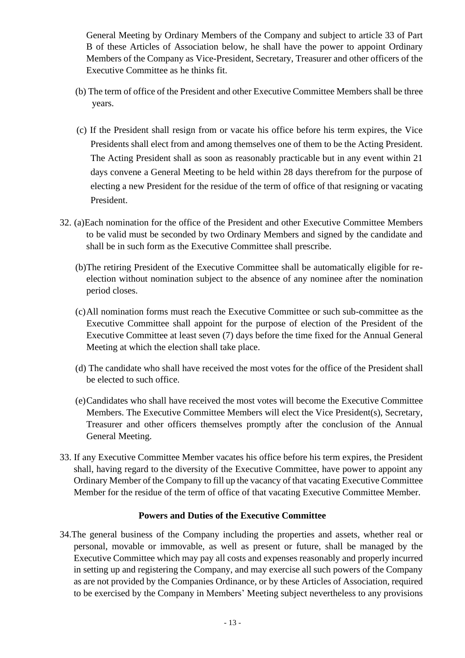General Meeting by Ordinary Members of the Company and subject to article 33 of Part B of these Articles of Association below, he shall have the power to appoint Ordinary Members of the Company as Vice-President, Secretary, Treasurer and other officers of the Executive Committee as he thinks fit.

- (b) The term of office of the President and other Executive Committee Members shall be three years.
- (c) If the President shall resign from or vacate his office before his term expires, the Vice Presidents shall elect from and among themselves one of them to be the Acting President. The Acting President shall as soon as reasonably practicable but in any event within 21 days convene a General Meeting to be held within 28 days therefrom for the purpose of electing a new President for the residue of the term of office of that resigning or vacating President.
- 32. (a)Each nomination for the office of the President and other Executive Committee Members to be valid must be seconded by two Ordinary Members and signed by the candidate and shall be in such form as the Executive Committee shall prescribe.
	- (b)The retiring President of the Executive Committee shall be automatically eligible for reelection without nomination subject to the absence of any nominee after the nomination period closes.
	- (c)All nomination forms must reach the Executive Committee or such sub-committee as the Executive Committee shall appoint for the purpose of election of the President of the Executive Committee at least seven (7) days before the time fixed for the Annual General Meeting at which the election shall take place.
	- (d) The candidate who shall have received the most votes for the office of the President shall be elected to such office.
	- (e)Candidates who shall have received the most votes will become the Executive Committee Members. The Executive Committee Members will elect the Vice President(s), Secretary, Treasurer and other officers themselves promptly after the conclusion of the Annual General Meeting.
- 33. If any Executive Committee Member vacates his office before his term expires, the President shall, having regard to the diversity of the Executive Committee, have power to appoint any Ordinary Member of the Company to fill up the vacancy of that vacating Executive Committee Member for the residue of the term of office of that vacating Executive Committee Member.

### **Powers and Duties of the Executive Committee**

34.The general business of the Company including the properties and assets, whether real or personal, movable or immovable, as well as present or future, shall be managed by the Executive Committee which may pay all costs and expenses reasonably and properly incurred in setting up and registering the Company, and may exercise all such powers of the Company as are not provided by the Companies Ordinance, or by these Articles of Association, required to be exercised by the Company in Members' Meeting subject nevertheless to any provisions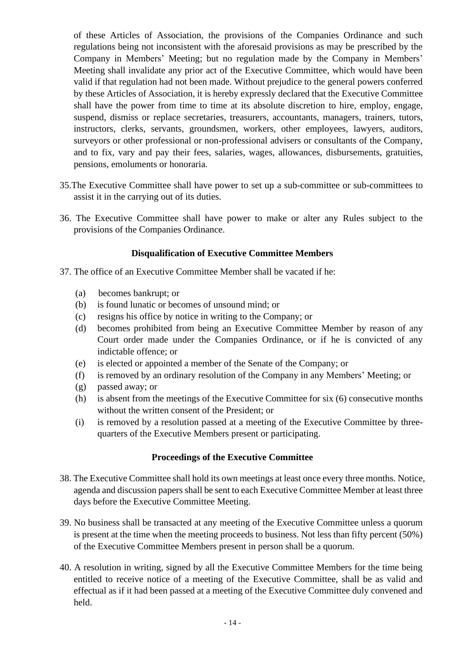of these Articles of Association, the provisions of the Companies Ordinance and such regulations being not inconsistent with the aforesaid provisions as may be prescribed by the Company in Members' Meeting; but no regulation made by the Company in Members' Meeting shall invalidate any prior act of the Executive Committee, which would have been valid if that regulation had not been made. Without prejudice to the general powers conferred by these Articles of Association, it is hereby expressly declared that the Executive Committee shall have the power from time to time at its absolute discretion to hire, employ, engage, suspend, dismiss or replace secretaries, treasurers, accountants, managers, trainers, tutors, instructors, clerks, servants, groundsmen, workers, other employees, lawyers, auditors, surveyors or other professional or non-professional advisers or consultants of the Company, and to fix, vary and pay their fees, salaries, wages, allowances, disbursements, gratuities, pensions, emoluments or honoraria.

- 35.The Executive Committee shall have power to set up a sub-committee or sub-committees to assist it in the carrying out of its duties.
- 36. The Executive Committee shall have power to make or alter any Rules subject to the provisions of the Companies Ordinance.

## **Disqualification of Executive Committee Members**

- 37. The office of an Executive Committee Member shall be vacated if he:
	- (a) becomes bankrupt; or
	- (b) is found lunatic or becomes of unsound mind; or
	- (c) resigns his office by notice in writing to the Company; or
	- (d) becomes prohibited from being an Executive Committee Member by reason of any Court order made under the Companies Ordinance, or if he is convicted of any indictable offence; or
	- (e) is elected or appointed a member of the Senate of the Company; or
	- (f) is removed by an ordinary resolution of the Company in any Members' Meeting; or
	- (g) passed away; or
	- (h) is absent from the meetings of the Executive Committee for six (6) consecutive months without the written consent of the President; or
	- (i) is removed by a resolution passed at a meeting of the Executive Committee by threequarters of the Executive Members present or participating.

## **Proceedings of the Executive Committee**

- 38. The Executive Committee shall hold its own meetings at least once every three months. Notice, agenda and discussion papers shall be sent to each Executive Committee Member at least three days before the Executive Committee Meeting.
- 39. No business shall be transacted at any meeting of the Executive Committee unless a quorum is present at the time when the meeting proceeds to business. Not less than fifty percent (50%) of the Executive Committee Members present in person shall be a quorum.
- 40. A resolution in writing, signed by all the Executive Committee Members for the time being entitled to receive notice of a meeting of the Executive Committee, shall be as valid and effectual as if it had been passed at a meeting of the Executive Committee duly convened and held.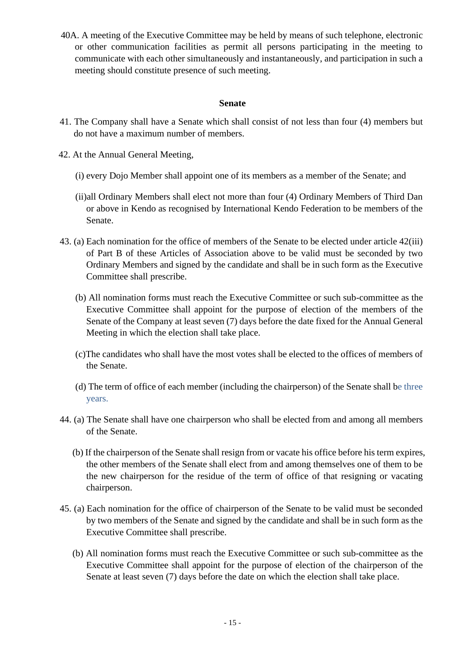40A. A meeting of the Executive Committee may be held by means of such telephone, electronic or other communication facilities as permit all persons participating in the meeting to communicate with each other simultaneously and instantaneously, and participation in such a meeting should constitute presence of such meeting.

### **Senate**

- 41. The Company shall have a Senate which shall consist of not less than four (4) members but do not have a maximum number of members.
- 42. At the Annual General Meeting,
	- (i) every Dojo Member shall appoint one of its members as a member of the Senate; and
	- (ii)all Ordinary Members shall elect not more than four (4) Ordinary Members of Third Dan or above in Kendo as recognised by International Kendo Federation to be members of the Senate.
- 43. (a) Each nomination for the office of members of the Senate to be elected under article 42(iii) of Part B of these Articles of Association above to be valid must be seconded by two Ordinary Members and signed by the candidate and shall be in such form as the Executive Committee shall prescribe.
	- (b) All nomination forms must reach the Executive Committee or such sub-committee as the Executive Committee shall appoint for the purpose of election of the members of the Senate of the Company at least seven (7) days before the date fixed for the Annual General Meeting in which the election shall take place.
	- (c)The candidates who shall have the most votes shall be elected to the offices of members of the Senate.
	- (d) The term of office of each member (including the chairperson) of the Senate shall be three years.
- 44. (a) The Senate shall have one chairperson who shall be elected from and among all members of the Senate.
	- (b) If the chairperson of the Senate shall resign from or vacate his office before his term expires, the other members of the Senate shall elect from and among themselves one of them to be the new chairperson for the residue of the term of office of that resigning or vacating chairperson.
- 45. (a) Each nomination for the office of chairperson of the Senate to be valid must be seconded by two members of the Senate and signed by the candidate and shall be in such form as the Executive Committee shall prescribe.
	- (b) All nomination forms must reach the Executive Committee or such sub-committee as the Executive Committee shall appoint for the purpose of election of the chairperson of the Senate at least seven (7) days before the date on which the election shall take place.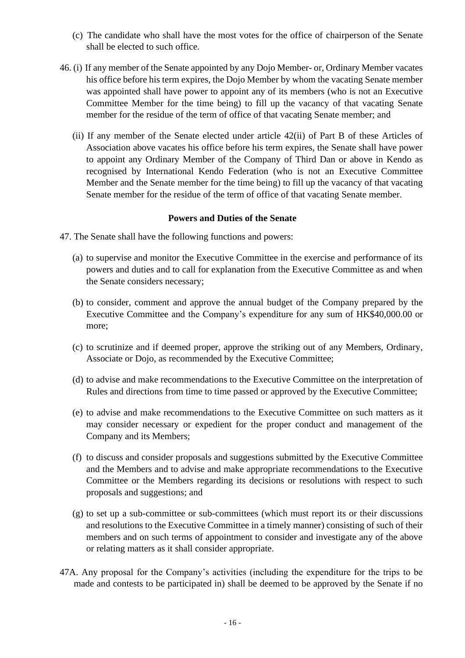- (c) The candidate who shall have the most votes for the office of chairperson of the Senate shall be elected to such office.
- 46. (i) If any member of the Senate appointed by any Dojo Member- or, Ordinary Member vacates his office before his term expires, the Dojo Member by whom the vacating Senate member was appointed shall have power to appoint any of its members (who is not an Executive Committee Member for the time being) to fill up the vacancy of that vacating Senate member for the residue of the term of office of that vacating Senate member; and
	- (ii) If any member of the Senate elected under article 42(ii) of Part B of these Articles of Association above vacates his office before his term expires, the Senate shall have power to appoint any Ordinary Member of the Company of Third Dan or above in Kendo as recognised by International Kendo Federation (who is not an Executive Committee Member and the Senate member for the time being) to fill up the vacancy of that vacating Senate member for the residue of the term of office of that vacating Senate member.

#### **Powers and Duties of the Senate**

- 47. The Senate shall have the following functions and powers:
	- (a) to supervise and monitor the Executive Committee in the exercise and performance of its powers and duties and to call for explanation from the Executive Committee as and when the Senate considers necessary;
	- (b) to consider, comment and approve the annual budget of the Company prepared by the Executive Committee and the Company's expenditure for any sum of HK\$40,000.00 or more;
	- (c) to scrutinize and if deemed proper, approve the striking out of any Members, Ordinary, Associate or Dojo, as recommended by the Executive Committee;
	- (d) to advise and make recommendations to the Executive Committee on the interpretation of Rules and directions from time to time passed or approved by the Executive Committee;
	- (e) to advise and make recommendations to the Executive Committee on such matters as it may consider necessary or expedient for the proper conduct and management of the Company and its Members;
	- (f) to discuss and consider proposals and suggestions submitted by the Executive Committee and the Members and to advise and make appropriate recommendations to the Executive Committee or the Members regarding its decisions or resolutions with respect to such proposals and suggestions; and
	- (g) to set up a sub-committee or sub-committees (which must report its or their discussions and resolutions to the Executive Committee in a timely manner) consisting of such of their members and on such terms of appointment to consider and investigate any of the above or relating matters as it shall consider appropriate.
- 47A. Any proposal for the Company's activities (including the expenditure for the trips to be made and contests to be participated in) shall be deemed to be approved by the Senate if no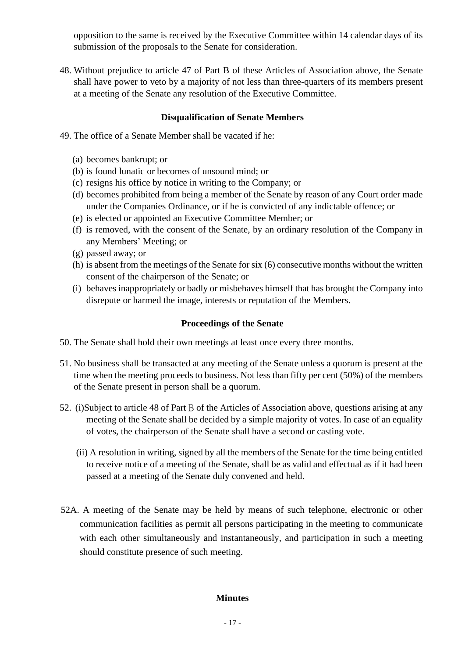opposition to the same is received by the Executive Committee within 14 calendar days of its submission of the proposals to the Senate for consideration.

48. Without prejudice to article 47 of Part B of these Articles of Association above, the Senate shall have power to veto by a majority of not less than three-quarters of its members present at a meeting of the Senate any resolution of the Executive Committee.

### **Disqualification of Senate Members**

- 49. The office of a Senate Member shall be vacated if he:
	- (a) becomes bankrupt; or
	- (b) is found lunatic or becomes of unsound mind; or
	- (c) resigns his office by notice in writing to the Company; or
	- (d) becomes prohibited from being a member of the Senate by reason of any Court order made under the Companies Ordinance, or if he is convicted of any indictable offence; or
	- (e) is elected or appointed an Executive Committee Member; or
	- (f) is removed, with the consent of the Senate, by an ordinary resolution of the Company in any Members' Meeting; or
	- (g) passed away; or
	- (h) is absent from the meetings of the Senate for six (6) consecutive months without the written consent of the chairperson of the Senate; or
	- (i) behaves inappropriately or badly or misbehaves himself that has brought the Company into disrepute or harmed the image, interests or reputation of the Members.

## **Proceedings of the Senate**

- 50. The Senate shall hold their own meetings at least once every three months.
- 51. No business shall be transacted at any meeting of the Senate unless a quorum is present at the time when the meeting proceeds to business. Not less than fifty per cent (50%) of the members of the Senate present in person shall be a quorum.
- 52. (i)Subject to article 48 of Part B of the Articles of Association above, questions arising at any meeting of the Senate shall be decided by a simple majority of votes. In case of an equality of votes, the chairperson of the Senate shall have a second or casting vote.
	- (ii) A resolution in writing, signed by all the members of the Senate for the time being entitled to receive notice of a meeting of the Senate, shall be as valid and effectual as if it had been passed at a meeting of the Senate duly convened and held.
- 52A. A meeting of the Senate may be held by means of such telephone, electronic or other communication facilities as permit all persons participating in the meeting to communicate with each other simultaneously and instantaneously, and participation in such a meeting should constitute presence of such meeting.

### **Minutes**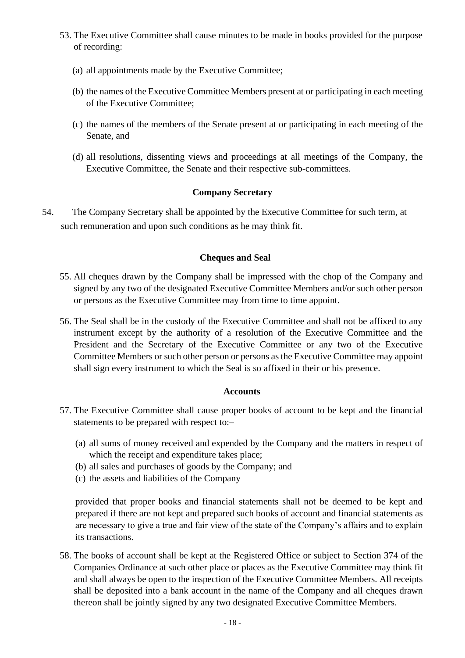- 53. The Executive Committee shall cause minutes to be made in books provided for the purpose of recording:
	- (a) all appointments made by the Executive Committee;
	- (b) the names of the Executive Committee Members present at or participating in each meeting of the Executive Committee;
	- (c) the names of the members of the Senate present at or participating in each meeting of the Senate, and
	- (d) all resolutions, dissenting views and proceedings at all meetings of the Company, the Executive Committee, the Senate and their respective sub-committees.

## **Company Secretary**

54. The Company Secretary shall be appointed by the Executive Committee for such term, at such remuneration and upon such conditions as he may think fit.

## **Cheques and Seal**

- 55. All cheques drawn by the Company shall be impressed with the chop of the Company and signed by any two of the designated Executive Committee Members and/or such other person or persons as the Executive Committee may from time to time appoint.
- 56. The Seal shall be in the custody of the Executive Committee and shall not be affixed to any instrument except by the authority of a resolution of the Executive Committee and the President and the Secretary of the Executive Committee or any two of the Executive Committee Members or such other person or persons as the Executive Committee may appoint shall sign every instrument to which the Seal is so affixed in their or his presence.

### **Accounts**

- 57. The Executive Committee shall cause proper books of account to be kept and the financial statements to be prepared with respect to:–
	- (a) all sums of money received and expended by the Company and the matters in respect of which the receipt and expenditure takes place;
	- (b) all sales and purchases of goods by the Company; and
	- (c) the assets and liabilities of the Company

provided that proper books and financial statements shall not be deemed to be kept and prepared if there are not kept and prepared such books of account and financial statements as are necessary to give a true and fair view of the state of the Company's affairs and to explain its transactions.

58. The books of account shall be kept at the Registered Office or subject to Section 374 of the Companies Ordinance at such other place or places as the Executive Committee may think fit and shall always be open to the inspection of the Executive Committee Members. All receipts shall be deposited into a bank account in the name of the Company and all cheques drawn thereon shall be jointly signed by any two designated Executive Committee Members.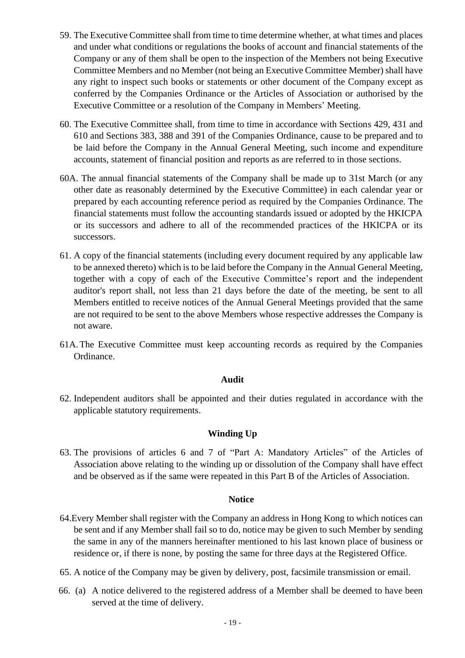- 59. The Executive Committee shall from time to time determine whether, at what times and places and under what conditions or regulations the books of account and financial statements of the Company or any of them shall be open to the inspection of the Members not being Executive Committee Members and no Member (not being an Executive Committee Member) shall have any right to inspect such books or statements or other document of the Company except as conferred by the Companies Ordinance or the Articles of Association or authorised by the Executive Committee or a resolution of the Company in Members' Meeting.
- 60. The Executive Committee shall, from time to time in accordance with Sections 429, 431 and 610 and Sections 383, 388 and 391 of the Companies Ordinance, cause to be prepared and to be laid before the Company in the Annual General Meeting, such income and expenditure accounts, statement of financial position and reports as are referred to in those sections.
- 60A. The annual financial statements of the Company shall be made up to 31st March (or any other date as reasonably determined by the Executive Committee) in each calendar year or prepared by each accounting reference period as required by the Companies Ordinance. The financial statements must follow the accounting standards issued or adopted by the HKICPA or its successors and adhere to all of the recommended practices of the HKICPA or its successors.
- 61. A copy of the financial statements (including every document required by any applicable law to be annexed thereto) which is to be laid before the Company in the Annual General Meeting, together with a copy of each of the Executive Committee's report and the independent auditor's report shall, not less than 21 days before the date of the meeting, be sent to all Members entitled to receive notices of the Annual General Meetings provided that the same are not required to be sent to the above Members whose respective addresses the Company is not aware.
- 61A.The Executive Committee must keep accounting records as required by the Companies Ordinance.

#### **Audit**

62. Independent auditors shall be appointed and their duties regulated in accordance with the applicable statutory requirements.

## **Winding Up**

63. The provisions of articles 6 and 7 of "Part A: Mandatory Articles" of the Articles of Association above relating to the winding up or dissolution of the Company shall have effect and be observed as if the same were repeated in this Part B of the Articles of Association.

#### **Notice**

- 64.Every Member shall register with the Company an address in Hong Kong to which notices can be sent and if any Member shall fail so to do, notice may be given to such Member by sending the same in any of the manners hereinafter mentioned to his last known place of business or residence or, if there is none, by posting the same for three days at the Registered Office.
- 65. A notice of the Company may be given by delivery, post, facsimile transmission or email.
- 66. (a) A notice delivered to the registered address of a Member shall be deemed to have been served at the time of delivery.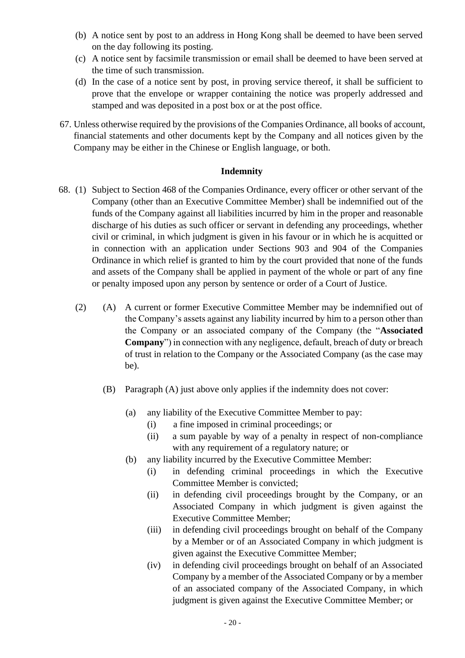- (b) A notice sent by post to an address in Hong Kong shall be deemed to have been served on the day following its posting.
- (c) A notice sent by facsimile transmission or email shall be deemed to have been served at the time of such transmission.
- (d) In the case of a notice sent by post, in proving service thereof, it shall be sufficient to prove that the envelope or wrapper containing the notice was properly addressed and stamped and was deposited in a post box or at the post office.
- 67. Unless otherwise required by the provisions of the Companies Ordinance, all books of account, financial statements and other documents kept by the Company and all notices given by the Company may be either in the Chinese or English language, or both.

## **Indemnity**

- 68. (1) Subject to Section 468 of the Companies Ordinance, every officer or other servant of the Company (other than an Executive Committee Member) shall be indemnified out of the funds of the Company against all liabilities incurred by him in the proper and reasonable discharge of his duties as such officer or servant in defending any proceedings, whether civil or criminal, in which judgment is given in his favour or in which he is acquitted or in connection with an application under Sections 903 and 904 of the Companies Ordinance in which relief is granted to him by the court provided that none of the funds and assets of the Company shall be applied in payment of the whole or part of any fine or penalty imposed upon any person by sentence or order of a Court of Justice.
	- (2) (A) A current or former Executive Committee Member may be indemnified out of the Company's assets against any liability incurred by him to a person other than the Company or an associated company of the Company (the "**Associated Company**") in connection with any negligence, default, breach of duty or breach of trust in relation to the Company or the Associated Company (as the case may be).
		- (B) Paragraph (A) just above only applies if the indemnity does not cover:
			- (a) any liability of the Executive Committee Member to pay:
				- (i) a fine imposed in criminal proceedings; or
				- (ii) a sum payable by way of a penalty in respect of non-compliance with any requirement of a regulatory nature; or
			- (b) any liability incurred by the Executive Committee Member:
				- (i) in defending criminal proceedings in which the Executive Committee Member is convicted;
				- (ii) in defending civil proceedings brought by the Company, or an Associated Company in which judgment is given against the Executive Committee Member;
				- (iii) in defending civil proceedings brought on behalf of the Company by a Member or of an Associated Company in which judgment is given against the Executive Committee Member;
				- (iv) in defending civil proceedings brought on behalf of an Associated Company by a member of the Associated Company or by a member of an associated company of the Associated Company, in which judgment is given against the Executive Committee Member; or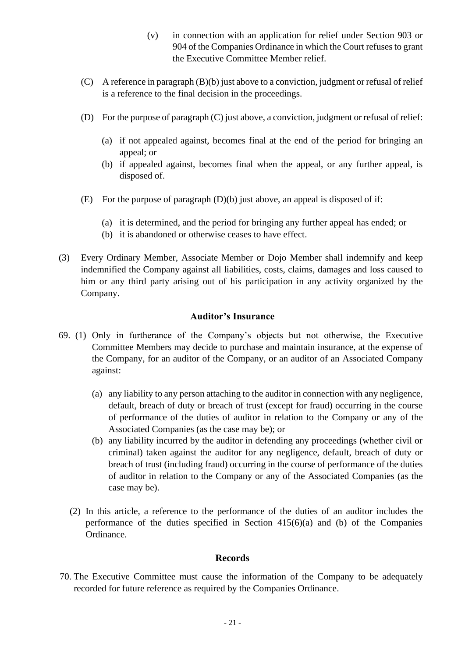- (v) in connection with an application for relief under Section 903 or 904 of the Companies Ordinance in which the Court refuses to grant the Executive Committee Member relief.
- (C) A reference in paragraph (B)(b) just above to a conviction, judgment or refusal of relief is a reference to the final decision in the proceedings.
- (D) For the purpose of paragraph (C) just above, a conviction, judgment or refusal of relief:
	- (a) if not appealed against, becomes final at the end of the period for bringing an appeal; or
	- (b) if appealed against, becomes final when the appeal, or any further appeal, is disposed of.
- (E) For the purpose of paragraph (D)(b) just above, an appeal is disposed of if:
	- (a) it is determined, and the period for bringing any further appeal has ended; or
	- (b) it is abandoned or otherwise ceases to have effect.
- (3) Every Ordinary Member, Associate Member or Dojo Member shall indemnify and keep indemnified the Company against all liabilities, costs, claims, damages and loss caused to him or any third party arising out of his participation in any activity organized by the Company.

## **Auditor's Insurance**

- 69. (1) Only in furtherance of the Company's objects but not otherwise, the Executive Committee Members may decide to purchase and maintain insurance, at the expense of the Company, for an auditor of the Company, or an auditor of an Associated Company against:
	- (a) any liability to any person attaching to the auditor in connection with any negligence, default, breach of duty or breach of trust (except for fraud) occurring in the course of performance of the duties of auditor in relation to the Company or any of the Associated Companies (as the case may be); or
	- (b) any liability incurred by the auditor in defending any proceedings (whether civil or criminal) taken against the auditor for any negligence, default, breach of duty or breach of trust (including fraud) occurring in the course of performance of the duties of auditor in relation to the Company or any of the Associated Companies (as the case may be).
	- (2) In this article, a reference to the performance of the duties of an auditor includes the performance of the duties specified in Section 415(6)(a) and (b) of the Companies Ordinance.

### **Records**

70. The Executive Committee must cause the information of the Company to be adequately recorded for future reference as required by the Companies Ordinance.